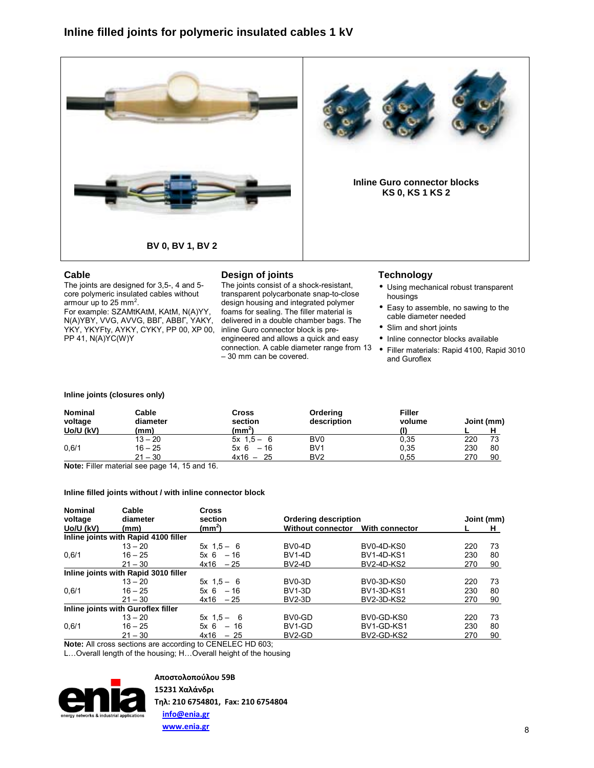



The joints are designed for 3,5-, 4 and 5 core polymeric insulated cables without armour up to 25 mm<sup>2</sup>. For example: SZAMtKAtM, KAtM, N(A)YY,

N(A)YBY, VVG, AVVG, ВВГ, АВВГ, YAKY, YKY, YKYFty, AYKY, CYKY, PP 00, XP 00, PP 41, N(A)YC(W)Y

# **Design of joints**

The joints consist of a shock-resistant, transparent polycarbonate snap-to-close design housing and integrated polymer foams for sealing. The filler material is delivered in a double chamber bags. The inline Guro connector block is preengineered and allows a quick and easy connection. A cable diameter range from 13  $-30$  mm can be covered.

# **Technology**

- Using mechanical robust transparent housings
- Easy to assemble, no sawing to the cable diameter needed
- Slim and short joints
- Inline connector blocks available
- Filler materials: Rapid 4100, Rapid 3010 and Guroflex

### **Inline joints (closures only)**

| <b>Nominal</b><br>voltage | Cable<br>diameter | Cross<br>section   | Ordering<br>description | <b>Filler</b><br>volume |     | Joint (mm) |
|---------------------------|-------------------|--------------------|-------------------------|-------------------------|-----|------------|
| Uo/U (kV)                 | (mm)              | (mm <sup>2</sup> ) |                         |                         |     |            |
|                           | $13 - 20$         | $5x + 1.5 - 6$     | B <sub>V0</sub>         | 0,35                    | 220 |            |
| 0,6/1                     | $16 - 25$         | $-16$<br>5x 6      | BV <sub>1</sub>         | 0,35                    | 230 | 80         |
|                           | $21 - 30$         | $4x16 - 25$        | BV <sub>2</sub>         | 0.55                    | 270 | 90         |

**Note:** Filler material see page 14, 15 and 16.

# **Inline filled joints without / with inline connector block**

| <b>Nominal</b><br>Cable<br>voltage<br>diameter |                                      | <b>Cross</b><br>section |                             |                   | Joint (mm) |    |
|------------------------------------------------|--------------------------------------|-------------------------|-----------------------------|-------------------|------------|----|
|                                                |                                      |                         | <b>Ordering description</b> |                   |            |    |
| Uo/U (kV)                                      | (mm)                                 | (mm <sup>2</sup> )      | <b>Without connector</b>    | With connector    |            | н  |
|                                                | Inline joints with Rapid 4100 filler |                         |                             |                   |            |    |
|                                                | $13 - 20$                            | $5x + 1.5 - 6$          | BV0-4D                      | BV0-4D-KS0        | 220        | 73 |
| 0,6/1                                          | $16 - 25$                            | $5x + 6 = 16$           | <b>BV1-4D</b>               | <b>BV1-4D-KS1</b> | 230        | 80 |
|                                                | $21 - 30$                            | $4x16 - 25$             | <b>BV2-4D</b>               | <b>BV2-4D-KS2</b> | 270        | 90 |
|                                                | Inline joints with Rapid 3010 filler |                         |                             |                   |            |    |
|                                                | $13 - 20$                            | $5x + 1.5 - 6$          | BV0-3D                      | BV0-3D-KS0        | 220        | 73 |
| 0.6/1                                          | $16 - 25$                            | 5x 6<br>$-16$           | <b>BV1-3D</b>               | <b>BV1-3D-KS1</b> | 230        | 80 |
|                                                | $21 - 30$                            | $4x16 - 25$             | BV2-3D                      | <b>BV2-3D-KS2</b> | 270        | 90 |
|                                                | Inline joints with Guroflex filler   |                         |                             |                   |            |    |
|                                                | $13 - 20$                            | $5x + 1.5 - 6$          | BV0-GD                      | BV0-GD-KS0        | 220        | 73 |
| 0.6/1                                          | $16 - 25$                            | $5x 6 - 16$             | BV1-GD                      | BV1-GD-KS1        | 230        | 80 |
|                                                | $21 - 30$                            | 4x16<br>$-25$           | BV2-GD                      | BV2-GD-KS2        | 270        | 90 |
| $\cdots$                                       |                                      | $-$ - $        -$       |                             |                   |            |    |

**Note:** All cross sections are according to CENELEC HD 603;

L... Overall length of the housing; H... Overall height of the housing



**Αποστολοπούλου 59Β 15231 Χαλάνδρι**

 **info@enia.gr www.enia.gr**

**Τηλ: 210 6754801, Fax: 210 6754804**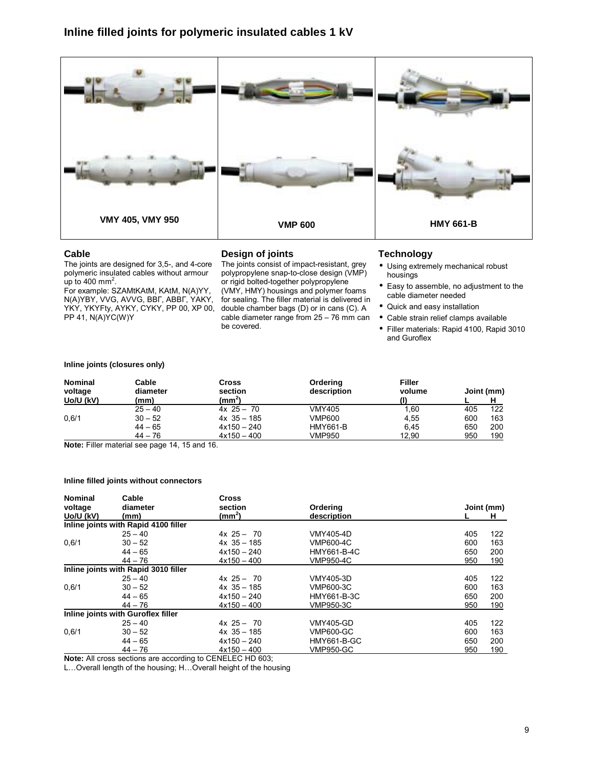

The joints are designed for 3,5-, and 4-core polymeric insulated cables without armour up to 400 mm<sup>2</sup>.

For example: SZAMtKAtM, KAtM, N(A)YY, N(A)YBY, VVG, AVVG, ВВГ, АВВГ, YAKY, YKY, YKYFty, AYKY, CYKY, PP 00, XP 00, PP 41, N(A)YC(W)Y

# **Design of joints**

The joints consist of impact-resistant, grey polypropylene snap-to-close design (VMP) or rigid bolted-together polypropylene (VMY, HMY) housings and polymer foams for sealing. The filler material is delivered in double chamber bags (D) or in cans (C). A cable diameter range from  $25 - 76$  mm can be covered.

## **Technology**

- Using extremely mechanical robust housings
- Easy to assemble, no adjustment to the cable diameter needed
- Quick and easy installation
- Cable strain relief clamps available
- Filler materials: Rapid 4100, Rapid 3010 and Guroflex

#### **Inline joints (closures only)**

| <b>Nominal</b><br>voltage | Cable<br>diameter | Cross<br>section  | Ordering<br>description | <b>Filler</b><br>volume |     | Joint (mm) |
|---------------------------|-------------------|-------------------|-------------------------|-------------------------|-----|------------|
| Uo/U (kV)                 | (mm)              | (mm <sup>2)</sup> |                         |                         |     |            |
|                           | $25 - 40$         | $4x 25 - 70$      | <b>VMY405</b>           | 1,60                    | 405 | 122        |
| 0.6/1                     | $30 - 52$         | $4x$ 35 - 185     | <b>VMP600</b>           | 4.55                    | 600 | 163        |
|                           | $44 - 65$         | $4x150 - 240$     | <b>HMY661-B</b>         | 6.45                    | 650 | 200        |
|                           | $44 - 76$         | $4x150 - 400$     | <b>VMP950</b>           | 12.90                   | 950 | 190        |

**Note:** Filler material see page 14, 15 and 16.

#### **Inline filled joints without connectors**

| <b>Nominal</b> | Cable                                | <b>Cross</b>       |                  |            |  |
|----------------|--------------------------------------|--------------------|------------------|------------|--|
| voltage        | diameter                             | section            | Ordering         | Joint (mm) |  |
| Uo/U (kV)      | (mm)                                 | (mm <sup>2</sup> ) | description      | н          |  |
|                | Inline joints with Rapid 4100 filler |                    |                  |            |  |
|                | $25 - 40$                            | $4x 25 - 70$       | VMY405-4D        | 122<br>405 |  |
| 0.6/1          | $30 - 52$                            | $4x$ 35 - 185      | VMP600-4C        | 163<br>600 |  |
|                | $44 - 65$                            | $4x150 - 240$      | HMY661-B-4C      | 650<br>200 |  |
|                | $44 - 76$                            | $4x150 - 400$      | VMP950-4C        | 950<br>190 |  |
|                | Inline joints with Rapid 3010 filler |                    |                  |            |  |
|                | $25 - 40$                            | $4x 25 - 70$       | VMY405-3D        | 122<br>405 |  |
| 0.6/1          | $30 - 52$                            | $4x$ 35 - 185      | VMP600-3C        | 163<br>600 |  |
|                | $44 - 65$                            | $4x150 - 240$      | HMY661-B-3C      | 200<br>650 |  |
|                | $44 - 76$                            | $4x150 - 400$      | VMP950-3C        | 190<br>950 |  |
|                | Inline joints with Guroflex filler   |                    |                  |            |  |
|                | $25 - 40$                            | $4x 25 - 70$       | <b>VMY405-GD</b> | 122<br>405 |  |
| 0.6/1          | $30 - 52$                            | $4x$ 35 - 185      | <b>VMP600-GC</b> | 163<br>600 |  |
|                | $44 - 65$                            | $4x150 - 240$      | HMY661-B-GC      | 650<br>200 |  |
|                | $44 - 76$                            | $4x150 - 400$      | <b>VMP950-GC</b> | 190<br>950 |  |

**Note:** All cross sections are according to CENELEC HD 603;

L... Overall length of the housing; H... Overall height of the housing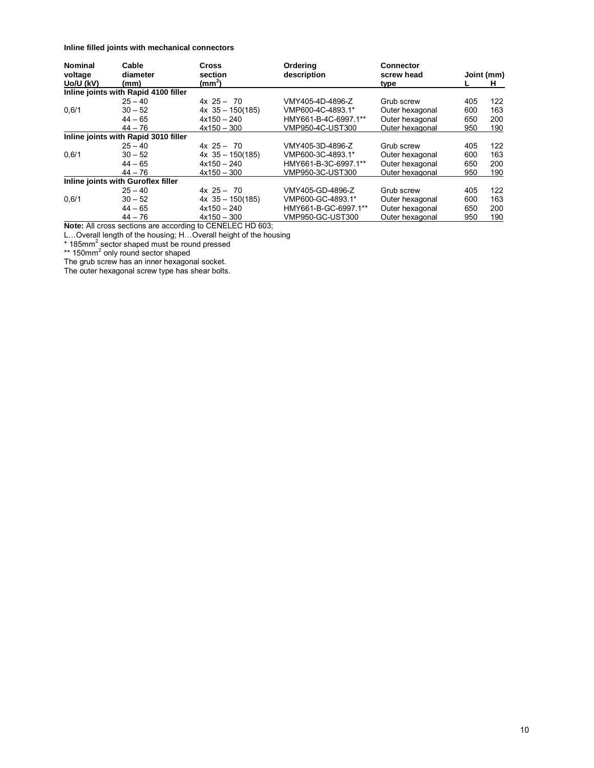**Inline filled joints with mechanical connectors** 

| <b>Nominal</b><br>Cable |                                      | <b>Cross</b>          | Ordering             | <b>Connector</b> |     |            |
|-------------------------|--------------------------------------|-----------------------|----------------------|------------------|-----|------------|
| voltage                 | diameter                             | section               | description          | screw head       |     | Joint (mm) |
| Uo/U (kV)               | (mm)                                 | (mm <sup>2</sup> )    |                      |                  |     | H.         |
|                         | Inline joints with Rapid 4100 filler |                       |                      |                  |     |            |
|                         | $25 - 40$                            | $4x + 25 - 70$        | VMY405-4D-4896-Z     | Grub screw       | 405 | 122        |
| 0.6/1                   | $30 - 52$                            | $4x \, 35 - 150(185)$ | VMP600-4C-4893.1*    | Outer hexagonal  | 600 | 163        |
|                         | $44 - 65$                            | $4x150 - 240$         | HMY661-B-4C-6997.1** | Outer hexagonal  | 650 | 200        |
|                         | $44 - 76$                            | $4x150 - 300$         | VMP950-4C-UST300     | Outer hexagonal  | 950 | 190        |
|                         | Inline joints with Rapid 3010 filler |                       |                      |                  |     |            |
|                         | $25 - 40$                            | $4x$ 25 - 70          | VMY405-3D-4896-Z     | Grub screw       | 405 | 122        |
| 0,6/1                   | $30 - 52$                            | $4x$ 35 - 150(185)    | VMP600-3C-4893.1*    | Outer hexagonal  | 600 | 163        |
|                         | $44 - 65$                            | $4x150 - 240$         | HMY661-B-3C-6997.1** | Outer hexagonal  | 650 | 200        |
|                         | $44 - 76$                            | $4x150 - 300$         | VMP950-3C-UST300     | Outer hexagonal  | 950 | 190        |
|                         | Inline joints with Guroflex filler   |                       |                      |                  |     |            |
|                         | $25 - 40$                            | $4x$ 25 - 70          | VMY405-GD-4896-Z     | Grub screw       | 405 | 122        |
| 0.6/1                   | $30 - 52$                            | $4x$ 35 - 150(185)    | VMP600-GC-4893.1*    | Outer hexagonal  | 600 | 163        |
|                         | $44 - 65$                            | $4x150 - 240$         | HMY661-B-GC-6997.1** | Outer hexagonal  | 650 | 200        |
|                         | $44 - 76$                            | $4x150 - 300$         | VMP950-GC-UST300     | Outer hexagonal  | 950 | 190        |

**Note:** All cross sections are according to CENELEC HD 603;

L…Overall length of the housing; H…Overall height of the housing<br>\* 185mm<sup>2</sup> sector shaped must be round pressed<br>\*\* 150mm<sup>2</sup> only round sector shaped

The grub screw has an inner hexagonal socket.

The outer hexagonal screw type has shear bolts.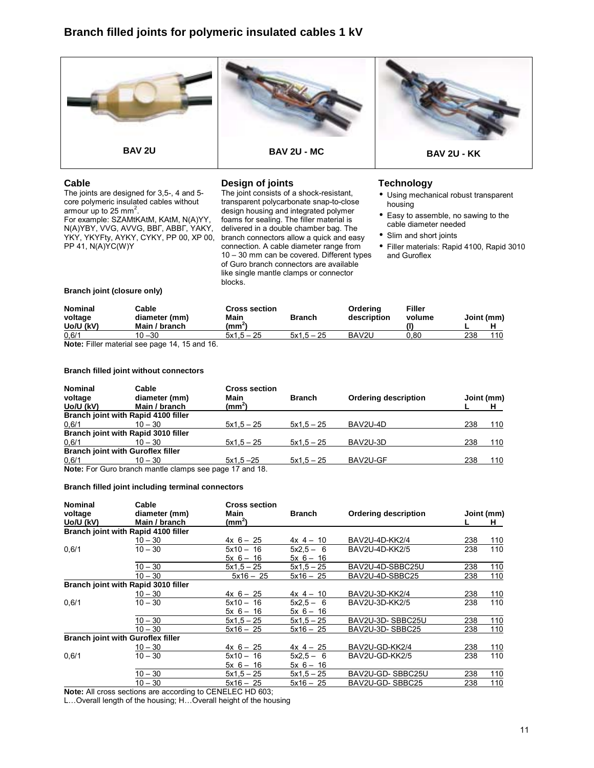

The joints are designed for 3,5-, 4 and 5 core polymeric insulated cables without armour up to 25 mm<sup>2</sup>. For example: SZAMtKAtM, KAtM, N(A)YY, N(A)YBY, VVG, AVVG, ВВГ, АВВГ, YAKY, YKY, YKYFty, AYKY, CYKY, PP 00, XP 00, PP 41, N(A)YC(W)Y

## **Design of joints**

The joint consists of a shock-resistant, transparent polycarbonate snap-to-close design housing and integrated polymer foams for sealing. The filler material is delivered in a double chamber bag. The branch connectors allow a quick and easy connection. A cable diameter range from  $10 - 30$  mm can be covered. Different types of Guro branch connectors are available like single mantle clamps or connector blocks.

# **Technology**

- Using mechanical robust transparent housing
- Easy to assemble, no sawing to the cable diameter needed
- Slim and short joints
- Filler materials: Rapid 4100, Rapid 3010 and Guroflex

#### **Branch joint (closure only)**

| <b>Nominal</b><br>voltage | Cable<br>diameter (mm)                       | <b>Cross section</b><br>Main | <b>Branch</b> | Orderina<br>description | Filler<br>volume |     | Joint (mm) |
|---------------------------|----------------------------------------------|------------------------------|---------------|-------------------------|------------------|-----|------------|
| Uo/U (kV)                 | Main / branch                                | (mm²)                        |               |                         |                  |     |            |
| 0,6/1                     | $10 - 30$                                    | $5x1.5 - 25$                 | $5x1.5 - 25$  | BAV2U                   | 0.80             | 238 | 110        |
|                           | Nets: Filler motorial age nego 14, 15 and 16 |                              |               |                         |                  |     |            |

**Note:** Filler material see page 14, 15 and 16.

#### **Branch filled joint without connectors**

| <b>Nominal</b><br>voltage | Cable<br>diameter (mm)                                 | <b>Cross section</b><br>Main | <b>Branch</b> | <b>Ordering description</b> |     | Joint (mm) |
|---------------------------|--------------------------------------------------------|------------------------------|---------------|-----------------------------|-----|------------|
| Uo/U (kV)                 | Main / branch                                          | $(mm^2)$                     |               |                             |     |            |
|                           | Branch joint with Rapid 4100 filler                    |                              |               |                             |     |            |
| 0,6/1                     | $10 - 30$                                              | $5x1.5 - 25$                 | $5x1.5 - 25$  | BAV2U-4D                    | 238 | 110        |
|                           | Branch joint with Rapid 3010 filler                    |                              |               |                             |     |            |
| 0,6/1                     | $10 - 30$                                              | $5x1.5 - 25$                 | $5x1.5 - 25$  | BAV2U-3D                    | 238 | 110        |
|                           | <b>Branch joint with Guroflex filler</b>               |                              |               |                             |     |            |
| 0,6/1                     | $10 - 30$                                              | $5x1.5 - 25$                 | $5x1.5 - 25$  | BAV2U-GF                    | 238 | 110        |
|                           | Note: For Guro branch mantle clamps see page 17 and 18 |                              |               |                             |     |            |

**Note:** For Guro branch mantle clamps see page 17 and 18.

#### **Branch filled joint including terminal connectors**

| <b>Nominal</b> | Cable                                    | <b>Cross section</b> |               |                             |     |            |
|----------------|------------------------------------------|----------------------|---------------|-----------------------------|-----|------------|
| voltage        | diameter (mm)                            | Main                 | <b>Branch</b> | <b>Ordering description</b> |     | Joint (mm) |
| Uo/U (kV)      | Main / branch                            | (mm <sup>2</sup> )   |               |                             |     | H          |
|                | Branch joint with Rapid 4100 filler      |                      |               |                             |     |            |
|                | $10 - 30$                                | $4x 6 - 25$          | $4x + 4 - 10$ | BAV2U-4D-KK2/4              | 238 | 110        |
| 0,6/1          | $10 - 30$                                | $5x10 - 16$          | $5x^2.5 - 6$  | BAV2U-4D-KK2/5              | 238 | 110        |
|                |                                          | $5x$ 6 - 16          | $5x$ 6 - 16   |                             |     |            |
|                | $10 - 30$                                | $5x1.5 - 25$         | $5x1.5 - 25$  | BAV2U-4D-SBBC25U            | 238 | 110        |
|                | $10 - 30$                                | $5x16 - 25$          | $5x16 - 25$   | BAV2U-4D-SBBC25             | 238 | 110        |
|                | Branch joint with Rapid 3010 filler      |                      |               |                             |     |            |
|                | $10 - 30$                                | $4x 6 - 25$          | $4x + 4 - 10$ | BAV2U-3D-KK2/4              | 238 | <u>110</u> |
| 0.6/1          | $10 - 30$                                | $5x10 - 16$          | $5x2.5 - 6$   | BAV2U-3D-KK2/5              | 238 | 110        |
|                |                                          | $5x$ 6 - 16          | $5x$ 6 - 16   |                             |     |            |
|                | $10 - 30$                                | $5x1.5 - 25$         | $5x1.5 - 25$  | BAV2U-3D-SBBC25U            | 238 | 110        |
|                | $10 - 30$                                | $5x16 - 25$          | $5x16 - 25$   | BAV2U-3D-SBBC25             | 238 | 110        |
|                | <b>Branch joint with Guroflex filler</b> |                      |               |                             |     |            |
|                | $10 - 30$                                | $4x 6 - 25$          | $4x + 25$     | BAV2U-GD-KK2/4              | 238 | 110        |
| 0.6/1          | $10 - 30$                                | $5x10 - 16$          | $5x2.5 - 6$   | BAV2U-GD-KK2/5              | 238 | 110        |
|                |                                          | $5x$ 6 - 16          | $5x$ 6 - 16   |                             |     |            |
|                | $10 - 30$                                | $5x1,5 - 25$         | $5x1.5 - 25$  | BAV2U-GD-SBBC25U            | 238 | 110        |
|                | $10 - 30$                                | $5x16 - 25$          | $5x16 - 25$   | BAV2U-GD-SBBC25             | 238 | 110        |
|                |                                          |                      |               |                             |     |            |

**Note:** All cross sections are according to CENELEC HD 603;

L... Overall length of the housing; H... Overall height of the housing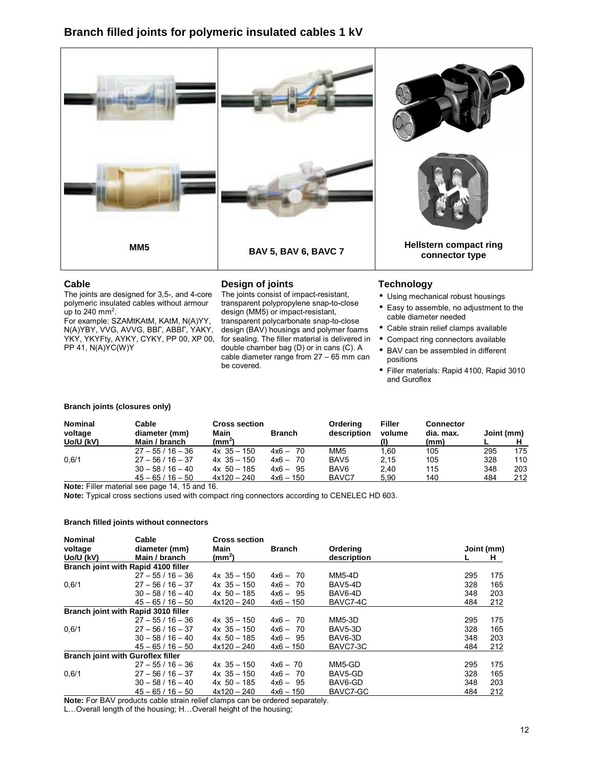

The joints are designed for 3,5-, and 4-core polymeric insulated cables without armour up to 240 mm<sup>2</sup>.

For example: SZAMtKAtM, KAtM, N(A)YY, N(A)YBY, VVG, AVVG, ВВГ, АВВГ, YAKY, YKY, YKYFty, AYKY, CYKY, PP 00, XP 00, PP 41, N(A)YC(W)Y

# **Design of joints**

The joints consist of impact-resistant, transparent polypropylene snap-to-close design (MM5) or impact-resistant, transparent polycarbonate snap-to-close design (BAV) housings and polymer foams for sealing. The filler material is delivered in double chamber bag (D) or in cans (C). A cable diameter range from  $27 - 65$  mm can be covered.

# **Technology**

- Using mechanical robust housings
- Easy to assemble, no adjustment to the cable diameter needed
- Cable strain relief clamps available
- Compact ring connectors available
- BAV can be assembled in different positions
- Filler materials: Rapid 4100, Rapid 3010 and Guroflex

#### **Branch joints (closures only)**

| <b>Nominal</b><br>voltage<br>Uo/U (kV) | Cable<br>diameter (mm)<br>Main / branch | <b>Cross section</b><br>Main<br>(mm <sup>2</sup> ) | <b>Branch</b> | Orderina<br>description | Filler<br>volume | <b>Connector</b><br>dia. max.<br>(mm) | Joint (mm) |     |
|----------------------------------------|-----------------------------------------|----------------------------------------------------|---------------|-------------------------|------------------|---------------------------------------|------------|-----|
|                                        | $27 - 55/16 - 36$                       | $4x \t35 - 150$                                    | $4x6 - 70$    | MM <sub>5</sub>         | 1.60             | 105                                   | 295        | 175 |
| 0.6/1                                  | $27 - 56/16 - 37$                       | $4x \t35 - 150$                                    | $4x6 - 70$    | BAV <sub>5</sub>        | 2.15             | 105                                   | 328        | 110 |
|                                        | $30 - 58 / 16 - 40$                     | $4x$ 50 - 185                                      | $4x6 - 95$    | BAV <sub>6</sub>        | 2.40             | 115                                   | 348        | 203 |
|                                        | $45 - 65 / 16 - 50$                     | $4x120 - 240$                                      | $4x6 - 150$   | BAVC7                   | 5.90             | 140                                   | 484        | 212 |

**Note:** Filler material see page 14, 15 and 16.

**Note:** Typical cross sections used with compact ring connectors according to CENELEC HD 603.

#### **Branch filled joints without connectors**

| <b>Nominal</b> | Cable                                    | <b>Cross section</b> |               |               |     |            |
|----------------|------------------------------------------|----------------------|---------------|---------------|-----|------------|
| voltage        | diameter (mm)                            | Main                 | <b>Branch</b> | Ordering      |     | Joint (mm) |
| Uo/U (kV)      | Main / branch                            | (mm <sup>2</sup> )   |               | description   |     | H.         |
|                | Branch joint with Rapid 4100 filler      |                      |               |               |     |            |
|                | $27 - 55/16 - 36$                        | $4x \t35 - 150$      | $4x6 - 70$    | <b>MM5-4D</b> | 295 | 175        |
| 0,6/1          | $27 - 56/16 - 37$                        | $4x \t35 - 150$      | $4x6 - 70$    | BAV5-4D       | 328 | 165        |
|                | $30 - 58 / 16 - 40$                      | $4x \, 50 - 185$     | $4x6 - 95$    | BAV6-4D       | 348 | 203        |
|                | $45 - 65 / 16 - 50$                      | $4x120 - 240$        | $4x6 - 150$   | BAVC7-4C      | 484 | 212        |
|                | Branch joint with Rapid 3010 filler      |                      |               |               |     |            |
|                | $27 - 55/16 - 36$                        | $4x \t35 - 150$      | $4x6 - 70$    | <b>MM5-3D</b> | 295 | 175        |
| 0.6/1          | $27 - 56/16 - 37$                        | $4x \t35 - 150$      | $4x6 - 70$    | BAV5-3D       | 328 | 165        |
|                | $30 - 58 / 16 - 40$                      | $4x$ 50 - 185        | $4x6 - 95$    | BAV6-3D       | 348 | 203        |
|                | $45 - 65/16 - 50$                        | $4x120 - 240$        | $4x6 - 150$   | BAVC7-3C      | 484 | 212        |
|                | <b>Branch joint with Guroflex filler</b> |                      |               |               |     |            |
|                | $27 - 55/16 - 36$                        | $4x \t35 - 150$      | $4x6 - 70$    | MM5-GD        | 295 | 175        |
| 0,6/1          | $27 - 56 / 16 - 37$                      | $4x \t35 - 150$      | $4x6 - 70$    | BAV5-GD       | 328 | 165        |
|                | $30 - 58 / 16 - 40$                      | $4x \, 50 - 185$     | $4x6 - 95$    | BAV6-GD       | 348 | 203        |
|                | $45 - 65 / 16 - 50$                      | $4x120 - 240$        | $4x6 - 150$   | BAVC7-GC      | 484 | 212        |

**Note:** For BAV products cable strain relief clamps can be ordered separately.

L... Overall length of the housing; H... Overall height of the housing;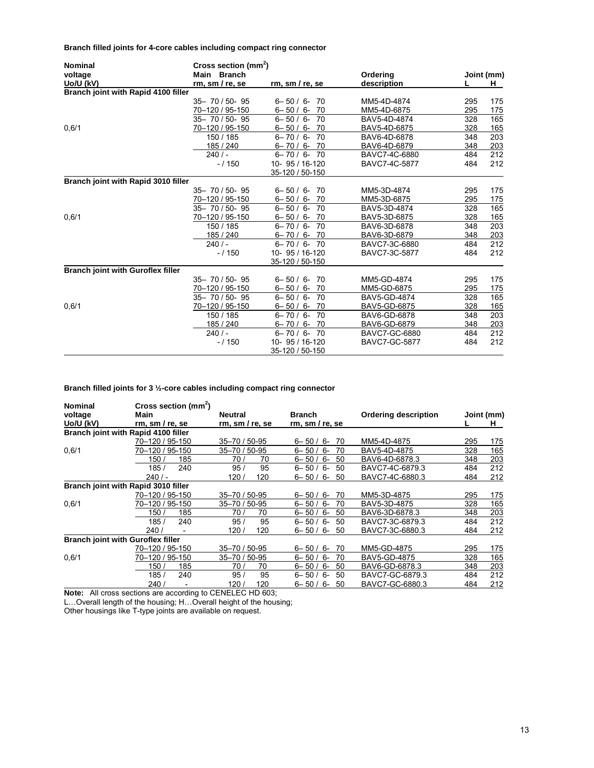**Branch filled joints for 4-core cables including compact ring connector** 

| <b>Nominal</b>                           |                     | Cross section (mm <sup>2</sup> ) |                      |     |             |  |  |
|------------------------------------------|---------------------|----------------------------------|----------------------|-----|-------------|--|--|
| voltage                                  | Main Branch         |                                  | Ordering             |     | Joint (mm)  |  |  |
| Uo/U (kV)                                | rm, sm/re, se       | rm, sm/re, se                    | description          |     | H.          |  |  |
| Branch joint with Rapid 4100 filler      |                     |                                  |                      |     |             |  |  |
|                                          | $35 - 70 / 50 - 95$ | $6 - 50 / 6 -$<br>-70            | MM5-4D-4874          | 295 | 175         |  |  |
|                                          | 70-120 / 95-150     | $6 - 50 / 6 - 70$                | MM5-4D-6875          | 295 | 175         |  |  |
|                                          | 35-70/50-95         | $6 - 50 / 6 - 70$                | BAV5-4D-4874         | 328 | 165         |  |  |
| 0,6/1                                    | 70-120 / 95-150     | $6 - 50 / 6 -$<br>-70            | BAV5-4D-6875         | 328 | 165         |  |  |
|                                          | 150 / 185           | $6 - 70 / 6 -$<br>70             | BAV6-4D-6878         | 348 | 203         |  |  |
|                                          | 185 / 240           | $6 - 70 / 6 - 70$                | BAV6-4D-6879         | 348 | 203         |  |  |
|                                          | 240/                | $6 - 70 / 6 - 70$                | BAVC7-4C-6880        | 484 | 212         |  |  |
|                                          | $-/150$             | 10- 95 / 16-120                  | BAVC7-4C-5877        | 484 | 212         |  |  |
|                                          |                     | 35-120 / 50-150                  |                      |     |             |  |  |
| Branch joint with Rapid 3010 filler      |                     |                                  |                      |     |             |  |  |
|                                          | $35 - 70 / 50 - 95$ | $6 - 50 / 6 -$<br>-70            | MM5-3D-4874          | 295 | 175         |  |  |
|                                          | 70-120 / 95-150     | $6 - 50 / 6 -$<br>-70            | MM5-3D-6875          | 295 | 175         |  |  |
|                                          | 35-70/50-95         | $6 - 50 / 6 -$<br>70             | BAV5-3D-4874         | 328 | 165         |  |  |
| 0,6/1                                    | 70-120 / 95-150     | $6 - 50 / 6 - 70$                | BAV5-3D-6875         | 328 | 165         |  |  |
|                                          | 150 / 185           | $6 - 70 / 6 - 70$                | BAV6-3D-6878         | 348 | 203         |  |  |
|                                          | 185 / 240           | $6 - 70 / 6 -$<br>- 70           | BAV6-3D-6879         | 348 | 203         |  |  |
|                                          | 240/                | $6 - 70 / 6 - 70$                | BAVC7-3C-6880        | 484 | 212         |  |  |
|                                          | $-/150$             | 10- 95 / 16-120                  | BAVC7-3C-5877        | 484 | 212         |  |  |
|                                          |                     | 35-120 / 50-150                  |                      |     |             |  |  |
| <b>Branch joint with Guroflex filler</b> |                     |                                  |                      |     |             |  |  |
|                                          | $35 - 70 / 50 - 95$ | $6 - 50 / 6 -$<br>70             | MM5-GD-4874          | 295 | 175         |  |  |
|                                          | 70-120 / 95-150     | $6 - 50 / 6 -$<br>-70            | MM5-GD-6875          | 295 | <u> 175</u> |  |  |
|                                          | 35-70/50-95         | 70<br>$6 - 50 / 6 -$             | BAV5-GD-4874         | 328 | 165         |  |  |
| 0,6/1                                    | 70-120 / 95-150     | $6 - 50 / 6 - 70$                | BAV5-GD-6875         | 328 | <u>165</u>  |  |  |
|                                          | 150 / 185           | $6 - 70/6 -$<br>-70              | BAV6-GD-6878         | 348 | 203         |  |  |
|                                          | 185 / 240           | $6 - 70 / 6 -$<br>-70            | BAV6-GD-6879         | 348 | <u>203</u>  |  |  |
|                                          | 240/                | 70<br>$6 - 70 / 6 -$             | BAVC7-GC-6880        | 484 | 212         |  |  |
|                                          | $-/150$             | 10- 95 / 16-120                  | <b>BAVC7-GC-5877</b> | 484 | 212         |  |  |
|                                          |                     | 35-120 / 50-150                  |                      |     |             |  |  |

**Branch filled joints for 3 ½-core cables including compact ring connector** 

| <b>Nominal</b><br>voltage                | Cross section (mm <sup>2</sup> )<br>Main | <b>Neutral</b> | <b>Branch</b>            | <b>Ordering description</b> |     | Joint (mm) |
|------------------------------------------|------------------------------------------|----------------|--------------------------|-----------------------------|-----|------------|
| Uo/U (kV)                                | rm, sm/re, se                            | rm, sm/re, se  | rm, sm / re, se          |                             |     | H.         |
| Branch joint with Rapid 4100 filler      |                                          |                |                          |                             |     |            |
|                                          | 70-120 / 95-150                          | 35-70 / 50-95  | $6 - 50/$<br>-6<br>70    | MM5-4D-4875                 | 295 | 175        |
| 0,6/1                                    | 70–120 / 95-150                          | 35-70 / 50-95  | 70<br>$6 - 50 / 6 -$     | BAV5-4D-4875                | 328 | 165        |
|                                          | 150 /<br>185                             | 70 /<br>70     | $6 - 50/$<br>50<br>-6    | BAV6-4D-6878.3              | 348 | 203        |
|                                          | 185/<br>240                              | 95<br>95/      | $6 - 50/6 -$<br>50       | BAVC7-4C-6879.3             | 484 | 212        |
|                                          | 240/                                     | 120/<br>120    | $6 - 50/$<br>-6<br>50    | BAVC7-4C-6880.3             | 484 | 212        |
| Branch joint with Rapid 3010 filler      |                                          |                |                          |                             |     |            |
|                                          | 70-120 / 95-150                          | 35-70 / 50-95  | $6 - 50/$<br>-6<br>70    | MM5-3D-4875                 | 295 | 175        |
| 0.6/1                                    | 70-120 / 95-150                          | 35-70 / 50-95  | $6 - 50 / 6 -$<br>70     | BAV5-3D-4875                | 328 | 165        |
|                                          | 150 /<br>185                             | 70<br>70 /     | $6 - 50/$<br>$6 -$<br>50 | BAV6-3D-6878.3              | 348 | 203        |
|                                          | 185/<br>240                              | 95/<br>95      | $6 - 50 / 6 -$<br>50     | BAVC7-3C-6879.3             | 484 | 212        |
|                                          | 240/                                     | 120<br>120/    | $6 - 50 / 6 - 50$        | BAVC7-3C-6880.3             | 484 | 212        |
| <b>Branch joint with Guroflex filler</b> |                                          |                |                          |                             |     |            |
|                                          | 70-120 / 95-150                          | 35-70 / 50-95  | $6 - 50/$<br>6-<br>70    | MM5-GD-4875                 | 295 | 175        |
| 0,6/1                                    | 70–120 / 95-150                          | 35-70 / 50-95  | $6 - 50/6 -$<br>70       | <b>BAV5-GD-4875</b>         | 328 | 165        |
|                                          | 150 /<br>185                             | 70/<br>70      | $6 - 50/$<br>-6<br>50    | BAV6-GD-6878.3              | 348 | 203        |
|                                          | 185/<br>240                              | 95<br>95/      | $6-$<br>$6 - 50/$<br>50  | BAVC7-GC-6879.3             | 484 | 212        |
|                                          | 240/                                     | 120/<br>120    | $6 - 50/$<br>6-<br>50    | BAVC7-GC-6880.3             | 484 | 212        |

**Note:** All cross sections are according to CENELEC HD 603;

L... Overall length of the housing; H... Overall height of the housing;

Other housings like T-type joints are available on request.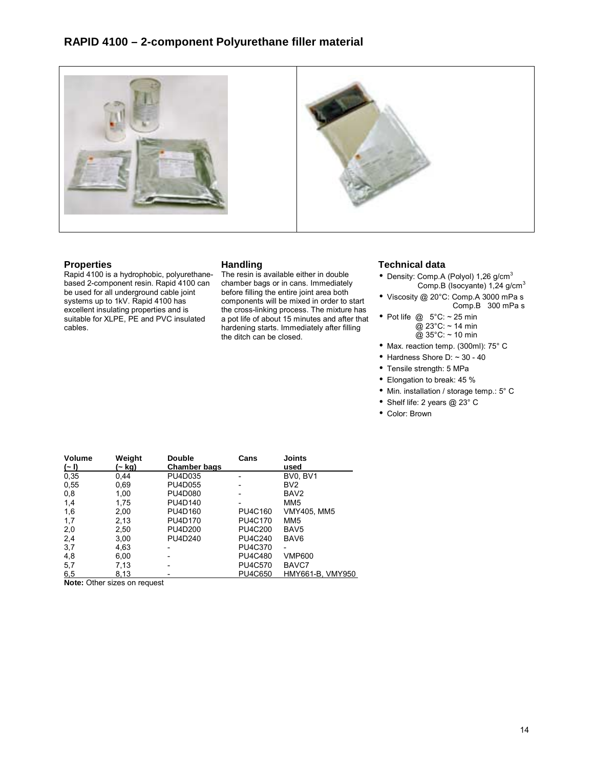



# **Properties**

Rapid 4100 is a hydrophobic, polyurethanebased 2-component resin. Rapid 4100 can be used for all underground cable joint systems up to 1kV. Rapid 4100 has excellent insulating properties and is suitable for XLPE, PE and PVC insulated cables.

# **Handling**

The resin is available either in double chamber bags or in cans. Immediately before filling the entire joint area both components will be mixed in order to start the cross-linking process. The mixture has a pot life of about 15 minutes and after that hardening starts. Immediately after filling the ditch can be closed.

# **Technical data**

- Density: Comp.A (Polyol)  $1,26$  g/cm<sup>3</sup> Comp.B (Isocyante) 1,24 g/cm<sup>3</sup>
- Viscosity @ 20°C: Comp.A 3000 mPa s Comp.B 300 mPa s
- Pot life  $@ 5^{\circ}C: ~ 25$  min @ 23°C: ~ 14 min @ 35°C: ~ 10 min
- Max. reaction temp. (300ml): 75° C
- Hardness Shore D:  $\sim$  30 40
- Tensile strength: 5 MPa
- Elongation to break: 45 %
- Min. installation / storage temp.: 5° C
- Shelf life: 2 years @ 23° C
- Color: Brown

| <b>Volume</b> | Weight                       | <b>Double</b>       | Cans                     | <b>Joints</b>    |
|---------------|------------------------------|---------------------|--------------------------|------------------|
| $(-1)$        | (~ kg)                       | <b>Chamber bags</b> |                          | used             |
| 0,35          | 0,44                         | PU4D035             | $\overline{\phantom{0}}$ | BV0, BV1         |
| 0,55          | 0,69                         | PU4D055             |                          | BV <sub>2</sub>  |
| 0,8           | 1,00                         | PU4D080             |                          | BAV <sub>2</sub> |
| 1,4           | 1,75                         | PU4D140             |                          | MM <sub>5</sub>  |
| 1,6           | 2,00                         | PU4D160             | PU4C160                  | VMY405, MM5      |
| 1,7           | 2,13                         | PU4D170             | <b>PU4C170</b>           | MM <sub>5</sub>  |
| 2,0           | 2,50                         | PU4D200             | PU4C200                  | BAV <sub>5</sub> |
| 2,4           | 3,00                         | PU4D240             | PU4C240                  | BAV <sub>6</sub> |
| 3,7           | 4,63                         |                     | PU4C370                  | -                |
| 4,8           | 6,00                         |                     | <b>PU4C480</b>           | <b>VMP600</b>    |
| 5,7           | 7,13                         |                     | <b>PU4C570</b>           | BAVC7            |
| 6,5           | 8,13                         |                     | PU4C650                  | HMY661-B, VMY950 |
|               | Nata: Other sizes an request |                     |                          |                  |

**Note:** Other sizes on request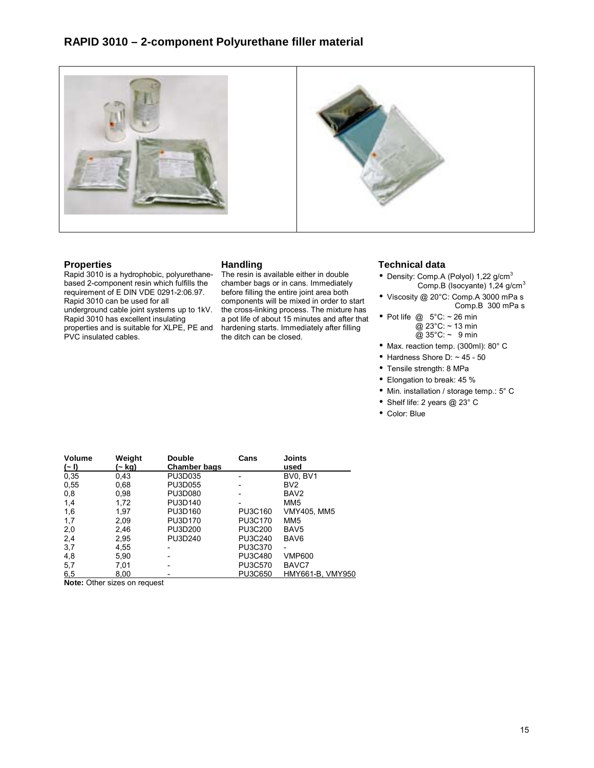



# **Properties**

Rapid 3010 is a hydrophobic, polyurethanebased 2-component resin which fulfills the requirement of E DIN VDE 0291-2:06.97. Rapid 3010 can be used for all underground cable joint systems up to 1kV. Rapid 3010 has excellent insulating properties and is suitable for XLPE, PE and

PVC insulated cables.

# **Handling**

The resin is available either in double chamber bags or in cans. Immediately before filling the entire joint area both components will be mixed in order to start the cross-linking process. The mixture has a pot life of about 15 minutes and after that hardening starts. Immediately after filling the ditch can be closed.

# **Technical data**

- Density: Comp.A (Polyol)  $1,22$  g/cm<sup>3</sup> Comp.B (Isocyante) 1,24 g/cm<sup>3</sup>
- Viscosity @ 20°C: Comp.A 3000 mPa s Comp.B 300 mPa s
- Pot life  $@ 5^{\circ}C: ~ 26$  min @ 23°C: ~ 13 min @ 35°C: ~ 9 min
- Max. reaction temp. (300ml): 80° C
- Hardness Shore D:  $\sim$  45 50
- Tensile strength: 8 MPa
- Elongation to break: 45 %
- Min. installation / storage temp.: 5° C
- Shelf life: 2 years @ 23° C
- Color: Blue

| <b>Volume</b> | Weight                       | <b>Double</b>       | Cans    | <b>Joints</b>    |
|---------------|------------------------------|---------------------|---------|------------------|
| $(-1)$        | .~ kg)                       | <b>Chamber bags</b> |         | used             |
| 0,35          | 0,43                         | PU3D035             | -       | BV0, BV1         |
| 0,55          | 0,68                         | PU3D055             |         | BV <sub>2</sub>  |
| 0,8           | 0,98                         | PU3D080             |         | BAV <sub>2</sub> |
| 1,4           | 1,72                         | PU3D140             |         | MM <sub>5</sub>  |
| 1,6           | 1,97                         | PU3D160             | PU3C160 | VMY405, MM5      |
| 1,7           | 2,09                         | PU3D170             | PU3C170 | MM <sub>5</sub>  |
| 2,0           | 2,46                         | PU3D200             | PU3C200 | BAV <sub>5</sub> |
| 2,4           | 2,95                         | PU3D240             | PU3C240 | BAV <sub>6</sub> |
| 3,7           | 4,55                         |                     | PU3C370 |                  |
| 4,8           | 5,90                         |                     | PU3C480 | <b>VMP600</b>    |
| 5,7           | 7,01                         |                     | PU3C570 | BAVC7            |
| 6,5           | 8.00                         |                     | PU3C650 | HMY661-B, VMY950 |
|               | Nata: Other sizes on request |                     |         |                  |

**Note:** Other sizes on request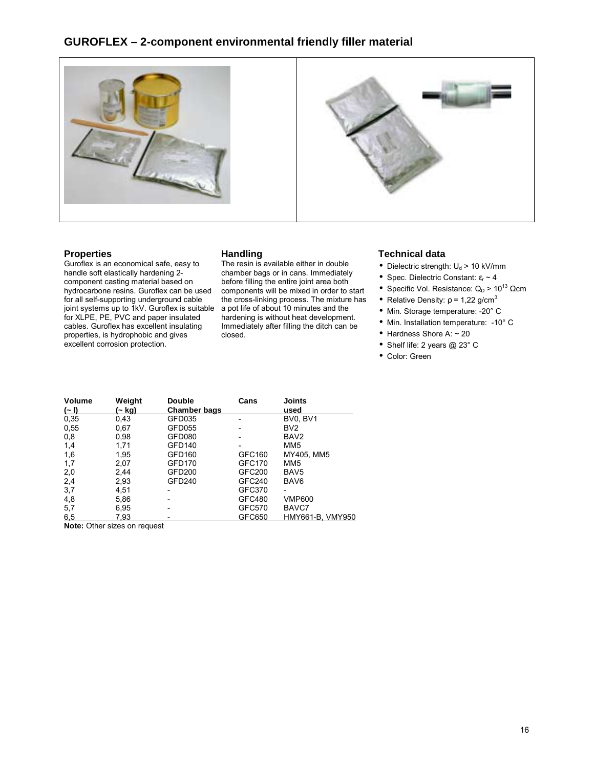# **GUROFLEX – 2-component environmental friendly filler material**



### **Properties**

Guroflex is an economical safe, easy to handle soft elastically hardening 2 component casting material based on hydrocarbone resins. Guroflex can be used for all self-supporting underground cable joint systems up to 1kV. Guroflex is suitable for XLPE, PE, PVC and paper insulated cables. Guroflex has excellent insulating properties, is hydrophobic and gives excellent corrosion protection.

### **Handling**

The resin is available either in double chamber bags or in cans. Immediately before filling the entire joint area both components will be mixed in order to start the cross-linking process. The mixture has a pot life of about 10 minutes and the hardening is without heat development. Immediately after filling the ditch can be closed.

# **Technical data**

- Dielectric strength:  $U_d$  > 10 kV/mm
- Spec. Dielectric Constant:  $\varepsilon_r \sim 4$
- Specific Vol. Resistance:  $Q_D > 10^{13} \Omega$ cm
- Relative Density:  $\rho = 1,22$  g/cm<sup>3</sup>
- Min. Storage temperature: -20° C
- Min. Installation temperature: -10° C
- $\bullet$  Hardness Shore A:  $\sim$  20
- Shelf life: 2 years @ 23° C
- Color: Green

| <b>Volume</b> | Weight | <b>Double</b>       | Cans          | <b>Joints</b>    |
|---------------|--------|---------------------|---------------|------------------|
| $(-1)$        | (~ kg) | <b>Chamber bags</b> |               | used             |
| 0.35          | 0,43   | GFD035              |               | BV0, BV1         |
| 0,55          | 0.67   | GFD055              |               | BV <sub>2</sub>  |
| 0,8           | 0,98   | GFD080              |               | BAV <sub>2</sub> |
| 1,4           | 1,71   | <b>GFD140</b>       |               | MM <sub>5</sub>  |
| 1,6           | 1,95   | GFD160              | GFC160        | MY405, MM5       |
| 1,7           | 2,07   | <b>GFD170</b>       | <b>GFC170</b> | MM <sub>5</sub>  |
| 2,0           | 2,44   | <b>GFD200</b>       | GFC200        | BAV <sub>5</sub> |
| 2,4           | 2,93   | GFD240              | GFC240        | BAV <sub>6</sub> |
| 3,7           | 4,51   | -                   | GFC370        |                  |
| 4,8           | 5,86   |                     | GFC480        | <b>VMP600</b>    |
| 5,7           | 6,95   |                     | GFC570        | BAVC7            |
| 6,5           | 7,93   |                     | GFC650        | HMY661-B, VMY950 |
| $\sim$<br>.   |        |                     |               |                  |

**Note:** Other sizes on request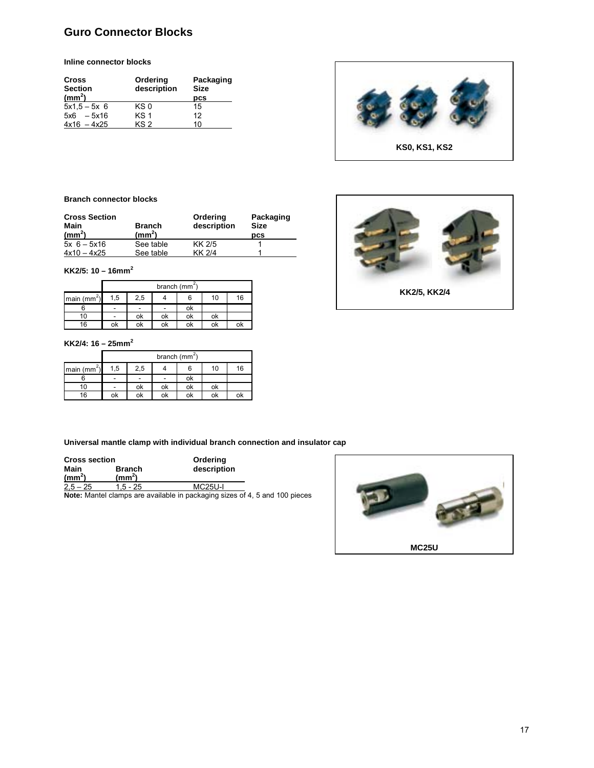# **Guro Connector Blocks**

**Inline connector blocks** 

| <b>Cross</b><br><b>Section</b><br>(mm <sup>2</sup> ) | Ordering<br>description | Packaging<br><b>Size</b><br>pcs |
|------------------------------------------------------|-------------------------|---------------------------------|
| $5x1.5 - 5x 6$                                       | KS 0                    | 15                              |
| $5x6 - 5x16$                                         | KS <sub>1</sub>         | 12                              |
| $4x16 - 4x25$                                        | KS 2                    | 10                              |



#### **Branch connector blocks**

| <b>Cross Section</b><br>Main<br>(mm <sup>2</sup> ) | <b>Branch</b><br>$\text{(mm}^2)$ | Ordering<br>description | Packaging<br><b>Size</b><br><b>DCS</b> |
|----------------------------------------------------|----------------------------------|-------------------------|----------------------------------------|
| $5x + 6 - 5x16$                                    | See table                        | KK 2/5                  |                                        |
| $4x10 - 4x25$                                      | See table                        | KK 2/4                  |                                        |

**KK2/5: 10 – 16mm<sup>2</sup>**

|                         |     |                          |    | branch (mm <sup>2</sup> ) |    |    |
|-------------------------|-----|--------------------------|----|---------------------------|----|----|
| main (mm <sup>2</sup> ) | 1,5 | 2,5                      |    |                           | 10 | 16 |
|                         | -   | $\overline{\phantom{0}}$ | -  | οĸ                        |    |    |
| 10                      |     | οĸ                       | оk | οk                        | οĸ |    |
| 16                      | οĸ  | οĸ                       | оk | ok                        | οĸ | ok |

#### **KK2/4: 16 – 25mm<sup>2</sup>**

|               | branch ( $mm2$ ) |     |    |    |    |    |  |
|---------------|------------------|-----|----|----|----|----|--|
| main $(mm^2)$ | 1,5              | 2,5 |    | 6  | 10 | 16 |  |
|               |                  |     |    | оk |    |    |  |
| 10            |                  | ok  | ok | ok | οk |    |  |
| 16            | ok               | ok  | οk | ok |    |    |  |

**Universal mantle clamp with individual branch connection and insulator cap** 

| <b>Cross section</b>       |                                  | Ordering       |   |
|----------------------------|----------------------------------|----------------|---|
| Main<br>(mm <sup>2</sup> ) | <b>Branch</b><br>$\text{(mm}^2)$ | description    |   |
| $2,5 - 25$                 | 1.5 - 25                         | <b>MC25U-I</b> |   |
|                            |                                  |                | . |

**Note:** Mantel clamps are available in packaging sizes of 4, 5 and 100 pieces



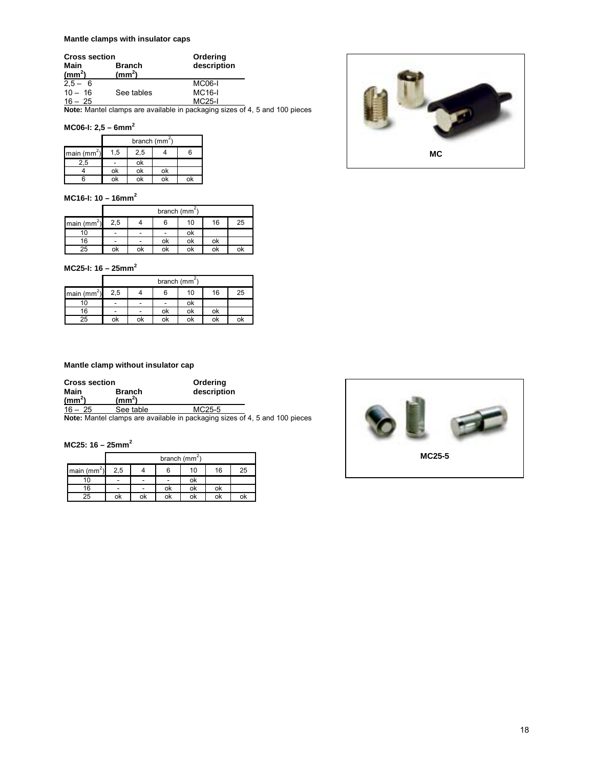### **Mantle clamps with insulator caps**

| <b>Cross section</b> |                    | Ordering                                                               |  |
|----------------------|--------------------|------------------------------------------------------------------------|--|
| Main                 | <b>Branch</b>      | description                                                            |  |
| (mm <sup>2</sup> )   | (mm <sup>2</sup> ) |                                                                        |  |
| $2.5 - 6$            |                    | <b>MC06-I</b>                                                          |  |
| $10 - 16$            | See tables         | <b>MC16-I</b>                                                          |  |
| $16 - 25$            |                    | <b>MC25-I</b>                                                          |  |
|                      |                    | Nets: Montel element are available in neclearing since of A. F. and Al |  |

**Note:** Mantel clamps are available in packaging sizes of 4, 5 and 100 pieces

### **MC06-I: 2,5 – 6mm<sup>2</sup>**

|                         | branch (mm <sup>-1</sup> ) |     |    |    |
|-------------------------|----------------------------|-----|----|----|
| main (mm <sup>2</sup> ) | 1,5                        | 2,5 |    |    |
| 2.5                     | -                          | οĸ  |    |    |
|                         | оk                         | оk  | оk |    |
|                         | оk                         | оk  | оk | оk |

### **MC16-I: 10 – 16mm<sup>2</sup>**

|               |                          | branch (mm <sup>2</sup> ) |    |    |    |    |  |
|---------------|--------------------------|---------------------------|----|----|----|----|--|
| main $(mm^2)$ | 2,5                      |                           |    | 10 | 16 | 25 |  |
| ιo            | $\overline{\phantom{a}}$ | -                         | ۰  | ok |    |    |  |
| 16            | ٠                        |                           | оk | ok | оk |    |  |
| 25            | οk                       | ok                        | οk | οk | ok | oĸ |  |

**MC25-I: 16 – 25mm<sup>2</sup>**

|              |     | branch (mm <sup>2</sup> ) |    |    |    |    |  |
|--------------|-----|---------------------------|----|----|----|----|--|
| main $(mm2)$ | 2,5 |                           |    | 10 | 16 | 25 |  |
|              |     |                           |    | ok |    |    |  |
| 16           |     |                           | ok | оk | ok |    |  |
| 25           | ok  | ok                        | οk | ok | ok | οk |  |

### **Mantle clamp without insulator cap**

| <b>Cross section</b>       |                                  | Ordering    |
|----------------------------|----------------------------------|-------------|
| Main<br>(mm <sup>2</sup> ) | <b>Branch</b><br>$\text{(mm}^2)$ | description |
| $16 - 25$                  | See table                        | MC25-5      |

**Note:** Mantel clamps are available in packaging sizes of 4, 5 and 100 pieces

### **MC25: 16 – 25mm<sup>2</sup>**

|                                                      | branch $(mm^2)$          |                          |                              |    |    |    |  |
|------------------------------------------------------|--------------------------|--------------------------|------------------------------|----|----|----|--|
| $\frac{\text{main}}{\text{main}}$ (mm <sup>2</sup> ) | 2,5                      |                          | 6                            | 10 | 16 | 25 |  |
|                                                      | $\overline{\phantom{a}}$ | $\overline{\phantom{a}}$ | $\qquad \qquad \blacksquare$ | ok |    |    |  |
| 16                                                   | -                        |                          | οk                           | ok | оk |    |  |
| 25                                                   | ok                       | ok                       | ok                           | ok | ok |    |  |